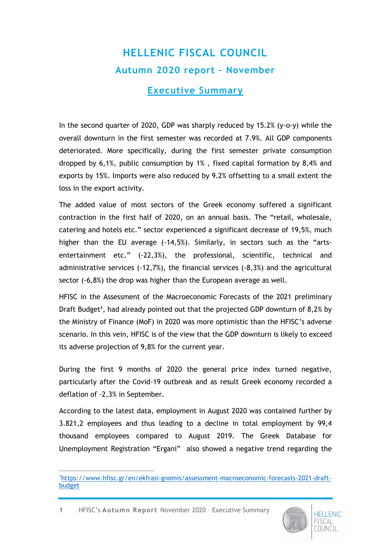## **HELLENIC FISCAL COUNCIL Autumn 2020 report – November**

## **Executive Summary**

In the second quarter of 2020, GDP was sharply reduced by 15.2% (y-o-y) while the overall downturn in the first semester was recorded at 7.9%. All GDP components deteriorated. More specifically, during the first semester private consumption dropped by 6,1%, public consumption by 1% , fixed capital formation by 8,4% and exports by 15%. Imports were also reduced by 9.2% offsetting to a small extent the loss in the export activity.

The added value of most sectors of the Greek economy suffered a significant contraction in the first half of 2020, on an annual basis. The "retail, wholesale, catering and hotels etc." sector experienced a significant decrease of 19,5%, much higher than the EU average (-14,5%). Similarly, in sectors such as the "artsentertainment etc." (-22,3%), the professional, scientific, technical and administrative services (-12,7%), the financial services (-8,3%) and the agricultural sector (-6,8%) the drop was higher than the European average as well.

HFISC in the Assessment of the Macroeconomic Forecasts of the 2021 preliminary Draft Budget**<sup>1</sup>** , had already pointed out that the projected GDP downturn of 8,2% by the Ministry of Finance (MoF) in 2020 was more optimistic than the HFISC's adverse scenario. In this vein, HFISC is of the view that the GDP downturn is likely to exceed its adverse projection of 9,8% for the current year.

During the first 9 months of 2020 the general price index turned negative, particularly after the Covid-19 outbreak and as result Greek economy recorded a deflation of -2,3% in September.

According to the latest data, employment in August 2020 was contained further by 3.821,2 employees and thus leading to a decline in total employment by 99,4 thousand employees compared to August 2019. The Greek Database for Unemployment Registration "Ergani" also showed a negative trend regarding the

**1** HFISC's **Autumn Report** November 2020 – Executive Summary



 $\overline{a}$ 1[https://www.hfisc.gr/en/ekfrasi-gnomis/assessment-macroeconomic-forecasts-2021-draft](https://www.hfisc.gr/en/ekfrasi-gnomis/assessment-macroeconomic-forecasts-2021-draft-budget)[budget](https://www.hfisc.gr/en/ekfrasi-gnomis/assessment-macroeconomic-forecasts-2021-draft-budget)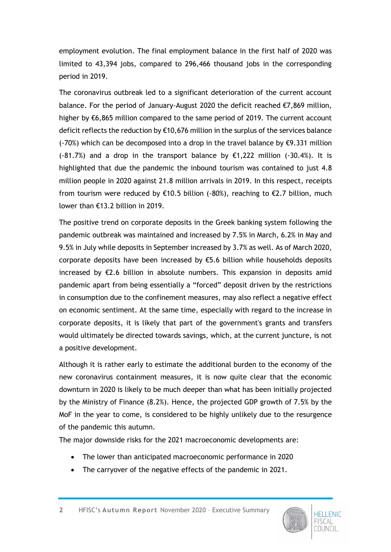employment evolution. The final employment balance in the first half of 2020 was limited to 43,394 jobs, compared to 296,466 thousand jobs in the corresponding period in 2019.

The coronavirus outbreak led to a significant deterioration of the current account balance. For the period of January-August 2020 the deficit reached €7,869 million, higher by €6,865 million compared to the same period of 2019. The current account deficit reflects the reduction by €10,676 million in the surplus of the services balance (-70%) which can be decomposed into a drop in the travel balance by  $\epsilon$ 9.331 million  $(-81.7%)$  and a drop in the transport balance by  $\epsilon$ 1,222 million  $(-30.4%)$ . It is highlighted that due the pandemic the inbound tourism was contained to just 4.8 million people in 2020 against 21.8 million arrivals in 2019. In this respect, receipts from tourism were reduced by €10.5 billion (-80%), reaching to €2.7 billion, much lower than €13.2 billion in 2019.

The positive trend on corporate deposits in the Greek banking system following the pandemic outbreak was maintained and increased by 7.5% in March, 6.2% in May and 9.5% in July while deposits in September increased by 3.7% as well. As of March 2020, corporate deposits have been increased by €5.6 billion while households deposits increased by €2.6 billion in absolute numbers. This expansion in deposits amid pandemic apart from being essentially a "forced" deposit driven by the restrictions in consumption due to the confinement measures, may also reflect a negative effect on economic sentiment. At the same time, especially with regard to the increase in corporate deposits, it is likely that part of the government's grants and transfers would ultimately be directed towards savings, which, at the current juncture, is not a positive development.

Although it is rather early to estimate the additional burden to the economy of the new coronavirus containment measures, it is now quite clear that the economic downturn in 2020 is likely to be much deeper than what has been initially projected by the Ministry of Finance (8.2%). Hence, the projected GDP growth of 7.5% by the MoF in the year to come, is considered to be highly unlikely due to the resurgence of the pandemic this autumn.

The major downside risks for the 2021 macroeconomic developments are:

- The lower than anticipated macroeconomic performance in 2020
- The carryover of the negative effects of the pandemic in 2021.

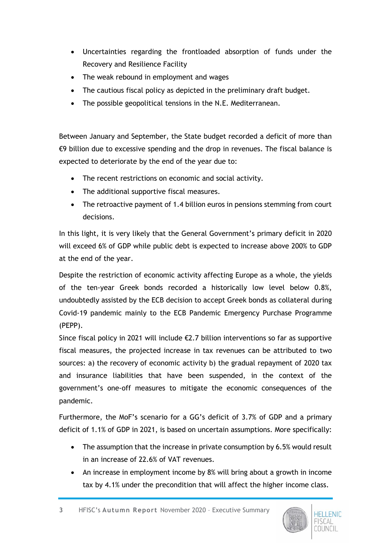- Uncertainties regarding the frontloaded absorption of funds under the Recovery and Resilience Facility
- The weak rebound in employment and wages
- The cautious fiscal policy as depicted in the preliminary draft budget.
- The possible geopolitical tensions in the N.E. Mediterranean.

Between January and September, the State budget recorded a deficit of more than €9 billion due to excessive spending and the drop in revenues. The fiscal balance is expected to deteriorate by the end of the year due to:

- The recent restrictions on economic and social activity.
- The additional supportive fiscal measures.
- The retroactive payment of 1.4 billion euros in pensions stemming from court decisions.

In this light, it is very likely that the General Government's primary deficit in 2020 will exceed 6% of GDP while public debt is expected to increase above 200% to GDP at the end of the year.

Despite the restriction of economic activity affecting Europe as a whole, the yields of the ten-year Greek bonds recorded a historically low level below 0.8%, undoubtedly assisted by the ECB decision to accept Greek bonds as collateral during Covid-19 pandemic mainly to the ECB Pandemic Emergency Purchase Programme (PEPP).

Since fiscal policy in 2021 will include  $\epsilon$ 2.7 billion interventions so far as supportive fiscal measures, the projected increase in tax revenues can be attributed to two sources: a) the recovery of economic activity b) the gradual repayment of 2020 tax and insurance liabilities that have been suspended, in the context of the government's one-off measures to mitigate the economic consequences of the pandemic.

Furthermore, the MoF's scenario for a GG's deficit of 3.7% of GDP and a primary deficit of 1.1% of GDP in 2021, is based on uncertain assumptions. More specifically:

- The assumption that the increase in private consumption by 6.5% would result in an increase of 22.6% of VAT revenues.
- An increase in employment income by 8% will bring about a growth in income tax by 4.1% under the precondition that will affect the higher income class.

**3** HFISC's **Autumn Report** November 2020 – Executive Summary